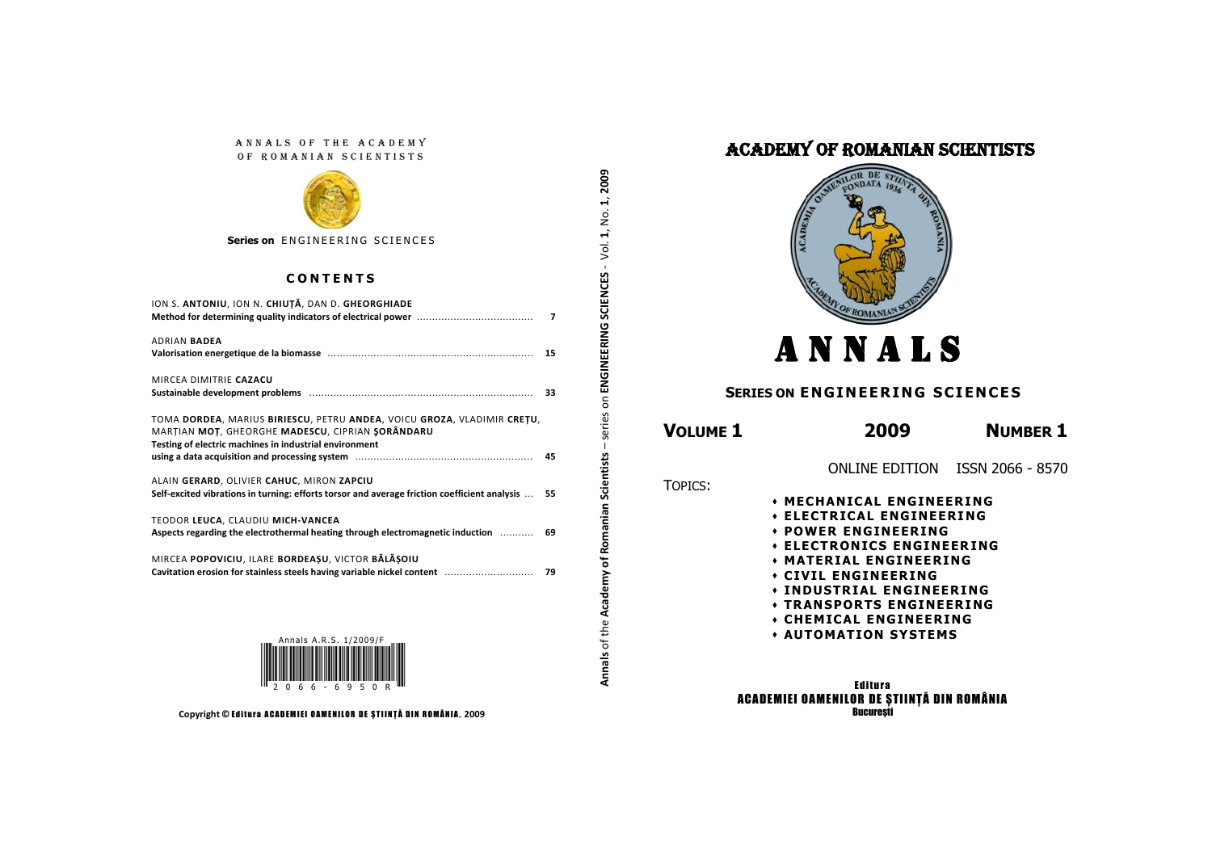### ANNALS OF THE ACADEMY OF ROMANIAN SCIENTISTS



**Series on ENGINEERING SCIENCES** 

### **C O N T E N T S**

| ION S. ANTONIU, ION N. CHIUȚĂ, DAN D. GHEORGHIADE                                                                                             | $\overline{7}$ |
|-----------------------------------------------------------------------------------------------------------------------------------------------|----------------|
| ADRIAN <b>BADEA</b>                                                                                                                           |                |
| MIRCEA DIMITRIE CAZACU<br>Sustainable development problems manually contained and all the distributions of the state of the state of the      |                |
| TOMA DORDEA, MARIUS BIRIESCU, PETRU ANDEA, VOICU GROZA, VLADIMIR CREȚU,<br>MARȚIAN MOȚ, GHEORGHE MADESCU, CIPRIAN ŞORÂNDARU                   |                |
| Testing of electric machines in industrial environment                                                                                        |                |
| ALAIN GERARD, OLIVIER CAHUC, MIRON ZAPCIU<br>Self-excited vibrations in turning: efforts torsor and average friction coefficient analysis  55 |                |
| TEODOR LEUCA, CLAUDIU MICH-VANCEA<br>Aspects regarding the electrothermal heating through electromagnetic induction                           | 69             |
| MIRCEA POPOVICIU, ILARE BORDEAȘU, VICTOR BĂLĂȘOIU<br>Cavitation erosion for stainless steels having variable nickel content  79               |                |
|                                                                                                                                               |                |

**1**, **20091**, No. – series on **ENGINEERING SCIENCES** - Vol. ī. ENGINEERING SCIENCES  $\mathsf{S}$ series anian Scientists **Annals** of the **Academy of Romanian Scientists** Rom  $\mathbf{b}$ Annals of the Academy

# ACADEMY OF ROMANIAN SCIENTISTS



# A N N A L S

# **SERIES ON ENGINEERING SCIENCES**

# **VOLUME 1 2009 NUMBER 1**

ONLINE EDITION ISSN 2066 - 8570

**ELECTRONICS ENGINEER ING**

- TOPICS:
- **MECHANICAL ENGINEERING**
- **ELECTRICAL ENGINEERING POWER ENGINEERING**
- 
- **MATERIAL ENGINEERING**
- **CIVIL ENGINEERING**
- **INDUSTRIAL ENGINEERING**
- **TRANSPORTS ENGINEERING**
- **CHEMICAL ENGINEERING**
- **AUTOMATION SYSTEMS**

**Editura** ACADEMIEI OAMENILOR DE ȘTIINȚĂ DIN ROMÂNIA **Bucuresti** 





**Copyright © Editura ACADEMIEI OAMENILOR DE ȘTIINȚĂ DIN ROMÂNIA, 2009**